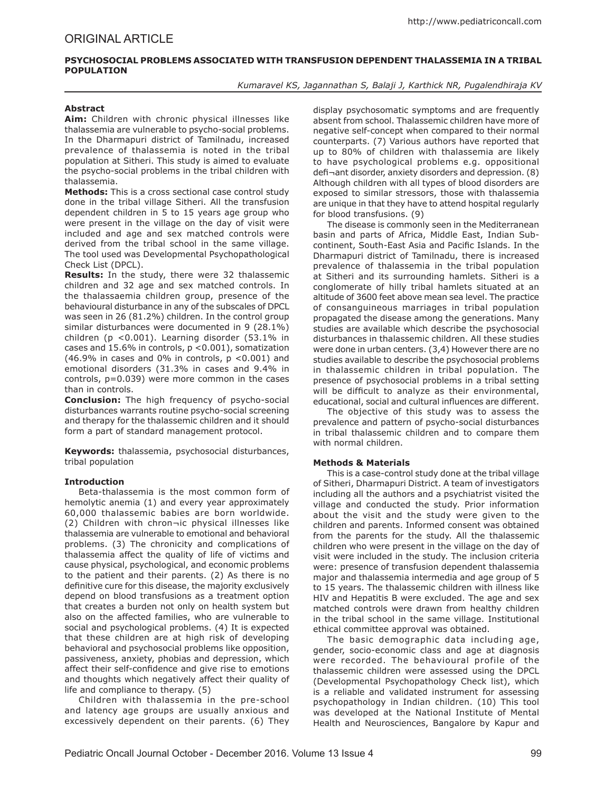## **PSYCHOSOCIAL PROBLEMS ASSOCIATED WITH TRANSFUSION DEPENDENT THALASSEMIA IN A TRIBAL POPULATION**

*Kumaravel KS, Jagannathan S, Balaji J, Karthick NR, Pugalendhiraja KV*

### **Abstract**

**Aim:** Children with chronic physical illnesses like thalassemia are vulnerable to psycho-social problems. In the Dharmapuri district of Tamilnadu, increased prevalence of thalassemia is noted in the tribal population at Sitheri. This study is aimed to evaluate the psycho-social problems in the tribal children with thalassemia.

**Methods:** This is a cross sectional case control study done in the tribal village Sitheri. All the transfusion dependent children in 5 to 15 years age group who were present in the village on the day of visit were included and age and sex matched controls were derived from the tribal school in the same village. The tool used was Developmental Psychopathological Check List (DPCL).

**Results:** In the study, there were 32 thalassemic children and 32 age and sex matched controls. In the thalassaemia children group, presence of the behavioural disturbance in any of the subscales of DPCL was seen in 26 (81.2%) children. In the control group similar disturbances were documented in 9 (28.1%) children (p <0.001). Learning disorder (53.1% in cases and 15.6% in controls, p <0.001), somatization  $(46.9\%$  in cases and 0% in controls,  $p < 0.001$  and emotional disorders (31.3% in cases and 9.4% in controls, p=0.039) were more common in the cases than in controls.

**Conclusion:** The high frequency of psycho-social disturbances warrants routine psycho-social screening and therapy for the thalassemic children and it should form a part of standard management protocol.

**Keywords:** thalassemia, psychosocial disturbances, tribal population

# **Introduction**

Beta-thalassemia is the most common form of hemolytic anemia (1) and every year approximately 60,000 thalassemic babies are born worldwide. (2) Children with chron¬ic physical illnesses like thalassemia are vulnerable to emotional and behavioral problems. (3) The chronicity and complications of thalassemia affect the quality of life of victims and cause physical, psychological, and economic problems to the patient and their parents. (2) As there is no definitive cure for this disease, the majority exclusively depend on blood transfusions as a treatment option that creates a burden not only on health system but also on the affected families, who are vulnerable to social and psychological problems. (4) It is expected that these children are at high risk of developing behavioral and psychosocial problems like opposition, passiveness, anxiety, phobias and depression, which affect their self-confidence and give rise to emotions and thoughts which negatively affect their quality of life and compliance to therapy. (5)

Children with thalassemia in the pre-school and latency age groups are usually anxious and excessively dependent on their parents. (6) They

display psychosomatic symptoms and are frequently absent from school. Thalassemic children have more of negative self-concept when compared to their normal counterparts. (7) Various authors have reported that up to 80% of children with thalassemia are likely to have psychological problems e.g. oppositional defi¬ant disorder, anxiety disorders and depression. (8) Although children with all types of blood disorders are exposed to similar stressors, those with thalassemia are unique in that they have to attend hospital regularly for blood transfusions. (9)

The disease is commonly seen in the Mediterranean basin and parts of Africa, Middle East, Indian Subcontinent, South-East Asia and Pacific Islands. In the Dharmapuri district of Tamilnadu, there is increased prevalence of thalassemia in the tribal population at Sitheri and its surrounding hamlets. Sitheri is a conglomerate of hilly tribal hamlets situated at an altitude of 3600 feet above mean sea level. The practice of consanguineous marriages in tribal population propagated the disease among the generations. Many studies are available which describe the psychosocial disturbances in thalassemic children. All these studies were done in urban centers. (3,4) However there are no studies available to describe the psychosocial problems in thalassemic children in tribal population. The presence of psychosocial problems in a tribal setting will be difficult to analyze as their environmental, educational, social and cultural influences are different.

The objective of this study was to assess the prevalence and pattern of psycho-social disturbances in tribal thalassemic children and to compare them with normal children.

### **Methods & Materials**

This is a case-control study done at the tribal village of Sitheri, Dharmapuri District. A team of investigators including all the authors and a psychiatrist visited the village and conducted the study. Prior information about the visit and the study were given to the children and parents. Informed consent was obtained from the parents for the study. All the thalassemic children who were present in the village on the day of visit were included in the study. The inclusion criteria were: presence of transfusion dependent thalassemia major and thalassemia intermedia and age group of 5 to 15 years. The thalassemic children with illness like HIV and Hepatitis B were excluded. The age and sex matched controls were drawn from healthy children in the tribal school in the same village. Institutional ethical committee approval was obtained.

The basic demographic data including age, gender, socio-economic class and age at diagnosis were recorded. The behavioural profile of the thalassemic children were assessed using the DPCL (Developmental Psychopathology Check list), which is a reliable and validated instrument for assessing psychopathology in Indian children. (10) This tool was developed at the National Institute of Mental Health and Neurosciences, Bangalore by Kapur and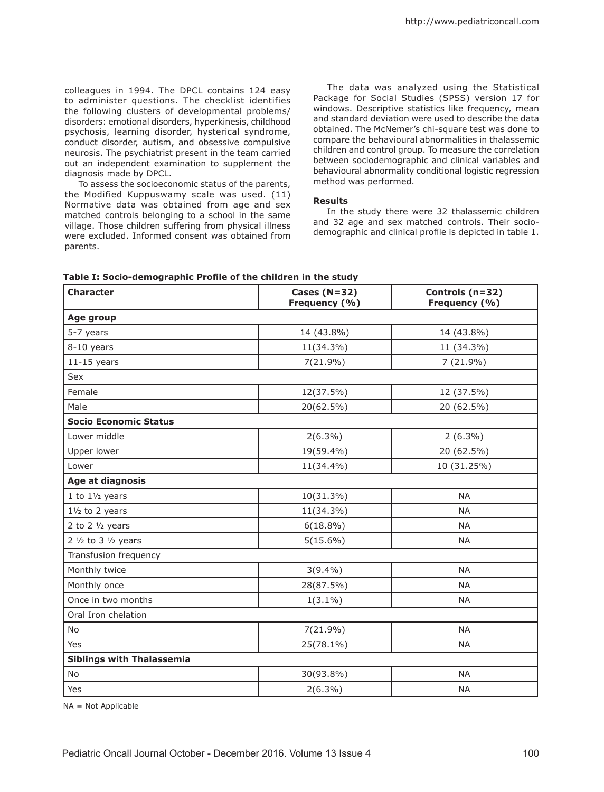colleagues in 1994. The DPCL contains 124 easy to administer questions. The checklist identifies the following clusters of developmental problems/ disorders: emotional disorders, hyperkinesis, childhood psychosis, learning disorder, hysterical syndrome, conduct disorder, autism, and obsessive compulsive neurosis. The psychiatrist present in the team carried out an independent examination to supplement the diagnosis made by DPCL.

To assess the socioeconomic status of the parents, the Modified Kuppuswamy scale was used. (11) Normative data was obtained from age and sex matched controls belonging to a school in the same village. Those children suffering from physical illness were excluded. Informed consent was obtained from parents.

The data was analyzed using the Statistical Package for Social Studies (SPSS) version 17 for windows. Descriptive statistics like frequency, mean and standard deviation were used to describe the data obtained. The McNemer's chi-square test was done to compare the behavioural abnormalities in thalassemic children and control group. To measure the correlation between sociodemographic and clinical variables and behavioural abnormality conditional logistic regression method was performed.

### **Results**

In the study there were 32 thalassemic children and 32 age and sex matched controls. Their sociodemographic and clinical profile is depicted in table 1.

| <b>Character</b>                         | Cases ( $N=32$ )<br>Frequency (%) | Controls (n=32)<br>Frequency (%) |  |
|------------------------------------------|-----------------------------------|----------------------------------|--|
| Age group                                |                                   |                                  |  |
| 5-7 years                                | 14 (43.8%)                        | 14 (43.8%)                       |  |
| 8-10 years                               | 11(34.3%)                         | 11 (34.3%)                       |  |
| $11-15$ years                            | $7(21.9\%)$                       | 7 (21.9%)                        |  |
| Sex                                      |                                   |                                  |  |
| Female                                   | 12(37.5%)                         | 12 (37.5%)                       |  |
| Male                                     | 20(62.5%)                         | 20 (62.5%)                       |  |
| <b>Socio Economic Status</b>             |                                   |                                  |  |
| Lower middle                             | $2(6.3\%)$                        | $2(6.3\%)$                       |  |
| Upper lower                              | 19(59.4%)                         | 20 (62.5%)                       |  |
| Lower                                    | 11(34.4%)                         | 10 (31.25%)                      |  |
| Age at diagnosis                         |                                   |                                  |  |
| $1$ to $1\frac{1}{2}$ years              | 10(31.3%)                         | <b>NA</b>                        |  |
| $1\frac{1}{2}$ to 2 years                | 11(34.3%)                         | <b>NA</b>                        |  |
| 2 to 2 $\frac{1}{2}$ years               | $6(18.8\%)$                       | <b>NA</b>                        |  |
| 2 $\frac{1}{2}$ to 3 $\frac{1}{2}$ years | $5(15.6\%)$                       | <b>NA</b>                        |  |
| Transfusion frequency                    |                                   |                                  |  |
| Monthly twice                            | $3(9.4\%)$                        | <b>NA</b>                        |  |
| Monthly once                             | 28(87.5%)                         | <b>NA</b>                        |  |
| Once in two months                       | $1(3.1\%)$                        | <b>NA</b>                        |  |
| Oral Iron chelation                      |                                   |                                  |  |
| No                                       | $7(21.9\%)$                       | <b>NA</b>                        |  |
| Yes                                      | 25(78.1%)                         | <b>NA</b>                        |  |
| <b>Siblings with Thalassemia</b>         |                                   |                                  |  |
| No                                       | 30(93.8%)                         | <b>NA</b>                        |  |
| Yes                                      | $2(6.3\%)$                        | <b>NA</b>                        |  |

**Table I: Socio-demographic Profile of the children in the study**

NA = Not Applicable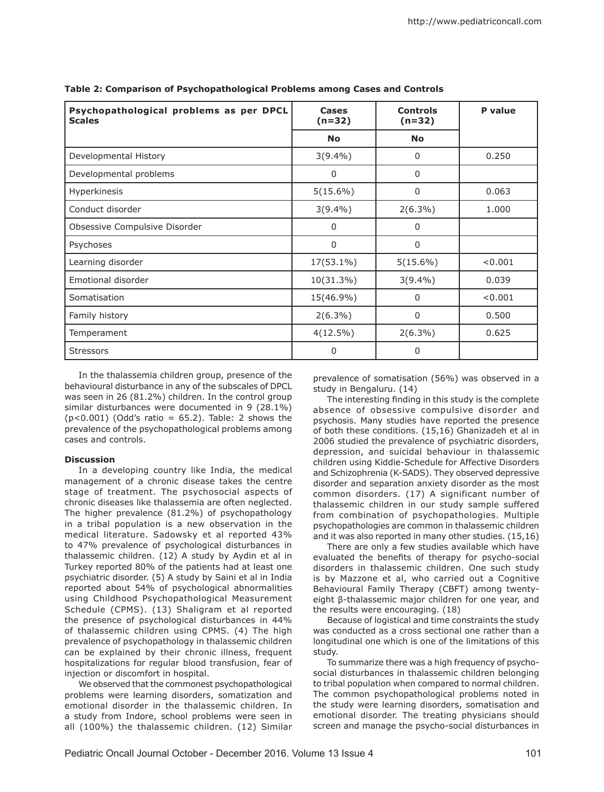| Psychopathological problems as per DPCL<br><b>Scales</b> | Cases<br>$(n=32)$ | <b>Controls</b><br>$(n=32)$ | P value |
|----------------------------------------------------------|-------------------|-----------------------------|---------|
|                                                          | <b>No</b>         | <b>No</b>                   |         |
| Developmental History                                    | $3(9.4\%)$        | 0                           | 0.250   |
| Developmental problems                                   | 0                 | 0                           |         |
| Hyperkinesis                                             | $5(15.6\%)$       | $\Omega$                    | 0.063   |
| Conduct disorder                                         | $3(9.4\%)$        | $2(6.3\%)$                  | 1.000   |
| Obsessive Compulsive Disorder                            | 0                 | 0                           |         |
| Psychoses                                                | 0                 | 0                           |         |
| Learning disorder                                        | 17(53.1%)         | $5(15.6\%)$                 | < 0.001 |
| Emotional disorder                                       | 10(31.3%)         | $3(9.4\%)$                  | 0.039   |
| Somatisation                                             | 15(46.9%)         | 0                           | < 0.001 |
| Family history                                           | $2(6.3\%)$        | 0                           | 0.500   |
| Temperament                                              | $4(12.5\%)$       | $2(6.3\%)$                  | 0.625   |
| <b>Stressors</b>                                         | 0                 | 0                           |         |

**Table 2: Comparison of Psychopathological Problems among Cases and Controls**

In the thalassemia children group, presence of the behavioural disturbance in any of the subscales of DPCL was seen in 26 (81.2%) children. In the control group similar disturbances were documented in 9 (28.1%)  $(p<0.001)$  (Odd's ratio = 65.2). Table: 2 shows the prevalence of the psychopathological problems among cases and controls.

### **Discussion**

In a developing country like India, the medical management of a chronic disease takes the centre stage of treatment. The psychosocial aspects of chronic diseases like thalassemia are often neglected. The higher prevalence (81.2%) of psychopathology in a tribal population is a new observation in the medical literature. Sadowsky et al reported 43% to 47% prevalence of psychological disturbances in thalassemic children. (12) A study by Aydin et al in Turkey reported 80% of the patients had at least one psychiatric disorder. (5) A study by Saini et al in India reported about 54% of psychological abnormalities using Childhood Psychopathological Measurement Schedule (CPMS). (13) Shaligram et al reported the presence of psychological disturbances in 44% of thalassemic children using CPMS. (4) The high prevalence of psychopathology in thalassemic children can be explained by their chronic illness, frequent hospitalizations for regular blood transfusion, fear of injection or discomfort in hospital.

We observed that the commonest psychopathological problems were learning disorders, somatization and emotional disorder in the thalassemic children. In a study from Indore, school problems were seen in all (100%) the thalassemic children. (12) Similar prevalence of somatisation (56%) was observed in a study in Bengaluru. (14)

The interesting finding in this study is the complete absence of obsessive compulsive disorder and psychosis. Many studies have reported the presence of both these conditions. (15,16) Ghanizadeh et al in 2006 studied the prevalence of psychiatric disorders, depression, and suicidal behaviour in thalassemic children using Kiddie-Schedule for Affective Disorders and Schizophrenia (K-SADS). They observed depressive disorder and separation anxiety disorder as the most common disorders. (17) A significant number of thalassemic children in our study sample suffered from combination of psychopathologies. Multiple psychopathologies are common in thalassemic children and it was also reported in many other studies. (15,16)

There are only a few studies available which have evaluated the benefits of therapy for psycho-social disorders in thalassemic children. One such study is by Mazzone et al, who carried out a Cognitive Behavioural Family Therapy (CBFT) among twentyeight β-thalassemic major children for one year, and the results were encouraging. (18)

Because of logistical and time constraints the study was conducted as a cross sectional one rather than a longitudinal one which is one of the limitations of this study.

To summarize there was a high frequency of psychosocial disturbances in thalassemic children belonging to tribal population when compared to normal children. The common psychopathological problems noted in the study were learning disorders, somatisation and emotional disorder. The treating physicians should screen and manage the psycho-social disturbances in